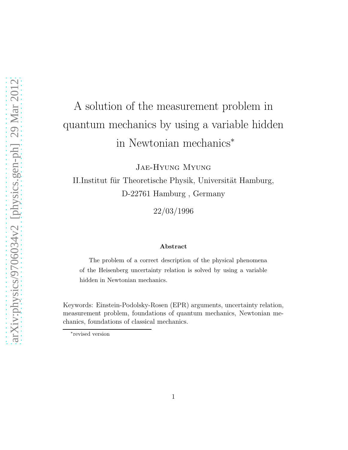# A solution of the measurement problem in quantum mechanics by using a variable hidden in Newtonian mechanics<sup>∗</sup>

Jae-Hyung Myung

II.Institut für Theoretische Physik, Universität Hamburg, D-22761 Hamburg , Germany

22/03/1996

#### Abstract

The problem of a correct description of the physical phenomena of the Heisenberg uncertainty relation is solved by using a variable hidden in Newtonian mechanics.

Keywords: Einstein-Podolsky-Rosen (EPR) arguments, uncertainty relation, measurement problem, foundations of quantum mechanics, Newtonian mechanics, foundations of classical mechanics.

<sup>∗</sup> revised version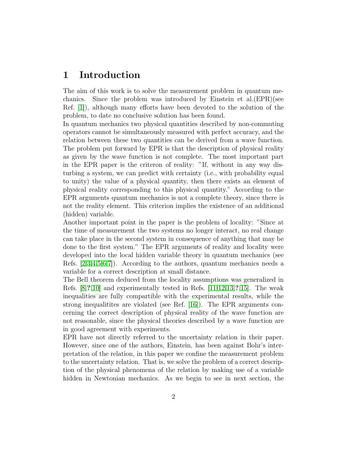#### 1 Introduction

The aim of this work is to solve the measurement problem in quantum mechanics. Since the problem was introduced by Einstein et al.(EPR)(see Ref. [\[1\]](#page-9-0)), although many efforts have been devoted to the solution of the problem, to date no conclusive solution has been found.

In quantum mechanics two physical quantities described by non-commuting operators cannot be simultaneously measured with perfect accuracy, and the relation between these two quantities can be derived from a wave function. The problem put forward by EPR is that the description of physical reality as given by the wave function is not complete. The most important part in the EPR paper is the criteron of reality: "If, without in any way disturbing a system, we can predict with certainty (i.e., with probability equal to unity) the value of a physical quantity, then there exists an element of physical reality corresponding to this physical quantity." According to the EPR arguments quantum mechanics is not a complete theory, since there is not the reality element. This criterion implies the existence of an additional (hidden) variable.

Another important point in the paper is the problem of locality: "Since at the time of measurement the two systems no longer interact, no real change can take place in the second system in consequence of anything that may be done to the first system." The EPR arguments of reality and locality were developed into the local hidden variable theory in quantum mechanics (see Refs. [\[2](#page-9-1)[,3](#page-9-2)[,4](#page-9-3)[,5,](#page-9-4)[6](#page-9-5)[,7\]](#page-9-6)). According to the authors, quantum mechanics needs a variable for a correct description at small distance.

The Bell theorem deduced from the locality assumptions was generalized in Refs. [\[8,](#page-9-7)?[,10\]](#page-9-8) and experimentally tested in Refs. [\[11,](#page-9-9)[12,](#page-9-10)[13,](#page-9-11)?[,15\]](#page-10-0). The weak inequalities are fully compartible with the experimental results, while the strong inequalitites are violated (see Ref. [\[16\]](#page-10-1)). The EPR arguments concerning the correct description of physical reality of the wave function are not reasonable, since the physical theories described by a wave function are in good agreement with experiments.

EPR have not directly referred to the uncertainty relation in their paper. However, since one of the authors, Einstein, has been against Bohr's interpretation of the relation, in this paper we confine the measurement problem to the uncertainty relation. That is, we solve the problem of a correct description of the physical phenomena of the relation by making use of a variable hidden in Newtonian mechanics. As we begin to see in next section, the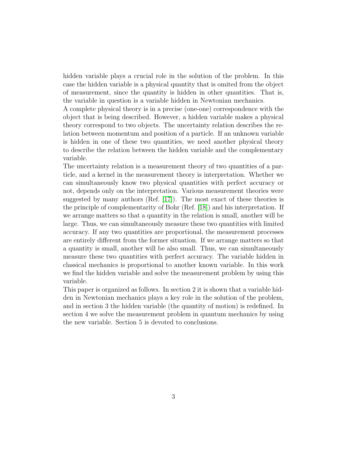hidden variable plays a crucial role in the solution of the problem. In this case the hidden variable is a physical quantity that is omited from the object of measurement, since the quantity is hidden in other quantities. That is, the variable in question is a variable hidden in Newtonian mechanics.

A complete physical theory is in a precise (one-one) correspondence with the object that is being described. However, a hidden variable makes a physical theory correspond to two objects. The uncertainty relation describes the relation between momentum and position of a particle. If an unknown variable is hidden in one of these two quantities, we need another physical theory to describe the relation between the hidden variable and the complementary variable.

The uncertainty relation is a measurement theory of two quantities of a particle, and a kernel in the measurement theory is interpretation. Whether we can simultaneously know two physical quantities with perfect accuracy or not, depends only on the interpretation. Various measurement theories were suggested by many authors (Ref. [\[17\]](#page-10-2)). The most exact of these theories is the principle of complementarity of Bohr (Ref. [\[18\]](#page-10-3)) and his interpretation. If we arrange matters so that a quantity in the relation is small, another will be large. Thus, we can simultaneously measure these two quantities with limited accuracy. If any two quantities are proportional, the measurement processes are entirely different from the former situation. If we arrange matters so that a quantity is small, another will be also small. Thus, we can simultaneously measure these two quantities with perfect accuracy. The variable hidden in classical mechanics is proportional to another known variable. In this work we find the hidden variable and solve the measurement problem by using this variable.

This paper is organized as follows. In section 2 it is shown that a variable hidden in Newtonian mechanics plays a key role in the solution of the problem, and in section 3 the hidden variable (the quantity of motion) is redefined. In section 4 we solve the measurement problem in quantum mechanics by using the new variable. Section 5 is devoted to conclusions.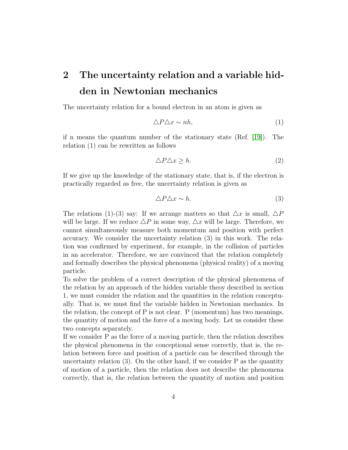### 2 The uncertainty relation and a variable hidden in Newtonian mechanics

The uncertainty relation for a bound electron in an atom is given as

$$
\Delta P \Delta x \sim nh,\tag{1}
$$

if n means the quantum number of the stationary state (Ref. [\[19\]](#page-10-4)). The relation (1) can be rewritten as follows

$$
\Delta P \Delta x \ge h. \tag{2}
$$

If we give up the knowledge of the stationary state, that is, if the electron is practically regarded as free, the uncertainty relation is given as

$$
\triangle P \triangle x \sim h. \tag{3}
$$

The relations (1)-(3) say: If we arrange matters so that  $\Delta x$  is small,  $\Delta P$ will be large. If we reduce  $\Delta P$  in some way,  $\Delta x$  will be large. Therefore, we cannot simultaneously measure both momentum and position with perfect accuracy. We consider the uncertainty relation (3) in this work. The relation was confirmed by experiment, for example, in the collision of particles in an accelerator. Therefore, we are convinced that the relation completely and formally describes the physical phenomena (physical reality) of a moving particle.

To solve the problem of a correct description of the physical phenomena of the relation by an approach of the hidden variable theoy described in section 1, we must consider the relation and the quantities in the relation conceptually. That is, we must find the variable hidden in Newtonian mechanics. In the relation, the concept of  $P$  is not clear.  $P$  (momentum) has two meanings, the quantity of motion and the force of a moving body. Let us consider these two concepts separately.

If we consider P as the force of a moving particle, then the relation describes the physical phenomena in the conceptional sense correctly, that is, the relation between force and position of a particle can be described through the uncertainty relation (3). On the other hand, if we consider P as the quantity of motion of a particle, then the relation does not describe the phenomena correctly, that is, the relation between the quantity of motion and position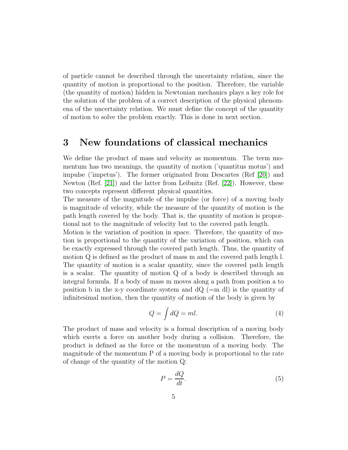of particle cannot be described through the uncertainty relation, since the quantity of motion is proportional to the position. Therefore, the variable (the quantity of motion) hidden in Newtonian mechanics plays a key role for the solution of the problem of a correct description of the physical phenomena of the uncertainty relation. We must define the concept of the quantity of motion to solve the problem exactly. This is done in next section.

### 3 New foundations of classical mechanics

We define the product of mass and velocity as momentum. The term momentum has two meanings, the quantity of motion ('quantitus motus') and impulse ('impetus'). The former originated from Descartes (Ref [\[20\]](#page-10-5)) and Newton (Ref. [\[21\]](#page-10-6)) and the latter from Leibnitz (Ref. [\[22\]](#page-10-7)). However, these two concepts represent different physical quantities.

The measure of the magnitude of the impulse (or force) of a moving body is magnitude of velocity, while the measure of the quantity of motion is the path length covered by the body. That is, the quantity of motion is proportional not to the magnitude of velocity but to the covered path length.

Motion is the variation of position in space. Therefore, the quantity of motion is proportional to the quantity of the variation of position, which can be exactly expressed through the covered path length. Thus, the quantity of motion Q is defined as the product of mass m and the covered path length l. The quantity of motion is a scalar quantity, since the covered path length is a scalar. The quantity of motion Q of a body is described through an integral formula. If a body of mass m moves along a path from position a to position b in the x-y coordinate system and  $dQ$  (=m dl) is the quantity of infinitesimal motion, then the quantity of motion of the body is given by

$$
Q = \int dQ = ml. \tag{4}
$$

The product of mass and velocity is a formal description of a moving body which exerts a force on another body during a collision. Therefore, the product is defined as the force or the momentum of a moving body. The magnitude of the momentum P of a moving body is proportional to the rate of change of the quantity of the motion Q:

$$
P = \frac{dQ}{dt}.\tag{5}
$$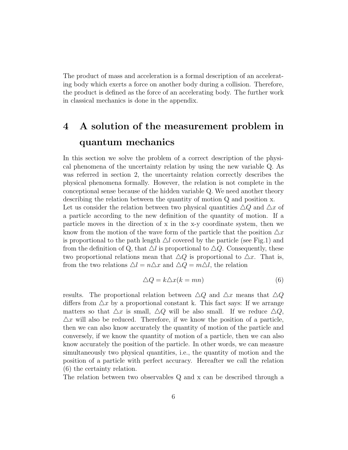The product of mass and acceleration is a formal description of an accelerating body which exerts a force on another body during a collision. Therefore, the product is defined as the force of an accelerating body. The further work in classical mechanics is done in the appendix.

### 4 A solution of the measurement problem in quantum mechanics

In this section we solve the problem of a correct description of the physical phenomena of the uncertainty relation by using the new variable Q. As was referred in section 2, the uncertainty relation correctly describes the physical phenomena formally. However, the relation is not complete in the conceptional sense because of the hidden variable Q. We need another theory describing the relation between the quantity of motion Q and position x. Let us consider the relation between two physical quantities  $\triangle Q$  and  $\triangle x$  of a particle according to the new definition of the quantity of motion. If a particle moves in the direction of x in the x-y coordinate system, then we know from the motion of the wave form of the particle that the position  $\Delta x$ is proportional to the path length  $\triangle l$  covered by the particle (see Fig.1) and

from the definition of Q, that  $\Delta l$  is proportional to  $\Delta Q$ . Consequently, these two proportional relations mean that  $\Delta Q$  is proportional to  $\Delta x$ . That is, from the two relations  $\Delta l = n \Delta x$  and  $\Delta Q = m \Delta l$ , the relation

$$
\triangle Q = k \triangle x (k = mn) \tag{6}
$$

results. The proportional relation between  $\Delta Q$  and  $\Delta x$  means that  $\Delta Q$ differs from  $\Delta x$  by a proportional constant k. This fact says: If we arrange matters so that  $\Delta x$  is small,  $\Delta Q$  will be also small. If we reduce  $\Delta Q$ ,  $\Delta x$  will also be reduced. Therefore, if we know the position of a particle, then we can also know accurately the quantity of motion of the particle and conversely, if we know the quantity of motion of a particle, then we can also know accurately the position of the particle. In other words, we can measure simultaneously two physical quantities, i.e., the quantity of motion and the position of a particle with perfect accuracy. Hereafter we call the relation (6) the certainty relation.

The relation between two observables Q and x can be described through a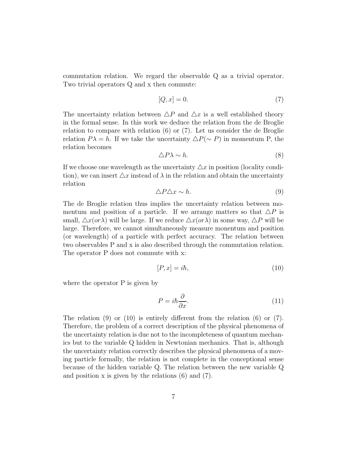commutation relation. We regard the observable Q as a trivial operator. Two trivial operators Q and x then commute:

$$
[Q, x] = 0.\t\t(7)
$$

The uncertainty relation between  $\Delta P$  and  $\Delta x$  is a well established theory in the formal sense. In this work we deduce the relation from the de Broglie relation to compare with relation (6) or (7). Let us consider the de Broglie relation  $P\lambda = h$ . If we take the uncertainty  $\Delta P(\sim P)$  in momentum P, the relation becomes

$$
\triangle P\lambda \sim h. \tag{8}
$$

If we choose one wavelength as the uncertainty  $\Delta x$  in position (locality condition), we can insert  $\Delta x$  instead of  $\lambda$  in the relation and obtain the uncertainty relation

$$
\triangle P \triangle x \sim h. \tag{9}
$$

The de Broglie relation thus implies the uncertainty relation between momentum and position of a particle. If we arrange matters so that  $\Delta P$  is small,  $\Delta x$ (or $\lambda$ ) will be large. If we reduce  $\Delta x$ (or $\lambda$ ) in some way,  $\Delta P$  will be large. Therefore, we cannot simultaneously measure monentum and position (or wavelength) of a particle with perfect accuracy. The relation between two observables P and x is also described through the commutation relation. The operator P does not commute with x:

$$
[P, x] = i\hbar,\tag{10}
$$

where the operator P is given by

$$
P = i\hbar \frac{\partial}{\partial x}.\tag{11}
$$

The relation (9) or (10) is entirely different from the relation (6) or (7). Therefore, the problem of a correct description of the physical phenomena of the uncertainty relation is due not to the incompleteness of quantum mechanics but to the variable Q hidden in Newtonian mechanics. That is, although the uncertainty relation correctly describes the physical phenomena of a moving particle formally, the relation is not complete in the conceptional sense because of the hidden variable Q. The relation between the new variable Q and position x is given by the relations (6) and (7).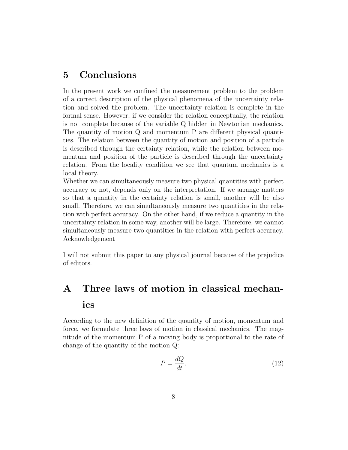#### 5 Conclusions

In the present work we confined the measurement problem to the problem of a correct description of the physical phenomena of the uncertainty relation and solved the problem. The uncertainty relation is complete in the formal sense. However, if we consider the relation conceptually, the relation is not complete because of the variable Q hidden in Newtonian mechanics. The quantity of motion Q and momentum P are different physical quantities. The relation between the quantity of motion and position of a particle is described through the certainty relation, while the relation between momentum and position of the particle is described through the uncertainty relation. From the locality condition we see that quantum mechanics is a local theory.

Whether we can simultaneously measure two physical quantities with perfect accuracy or not, depends only on the interpretation. If we arrange matters so that a quantity in the certainty relation is small, another will be also small. Therefore, we can simultaneously measure two quantities in the relation with perfect accuracy. On the other hand, if we reduce a quantity in the uncertainty relation in some way, another will be large. Therefore, we cannot simultaneously measure two quantities in the relation with perfect accuracy. Acknowledgement

I will not submit this paper to any physical journal because of the prejudice of editors.

## A Three laws of motion in classical mechanics

According to the new definition of the quantity of motion, momentum and force, we formulate three laws of motion in classical mechanics. The magnitude of the momentum P of a moving body is proportional to the rate of change of the quantity of the motion Q:

$$
P = \frac{dQ}{dt}.\tag{12}
$$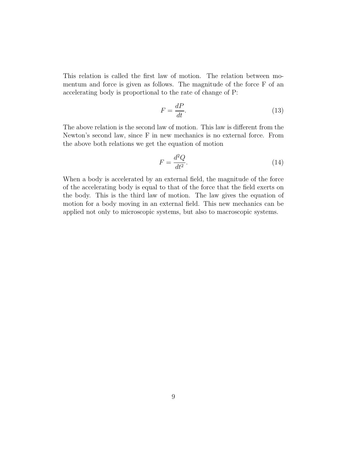This relation is called the first law of motion. The relation between momentum and force is given as follows. The magnitude of the force F of an accelerating body is proportional to the rate of change of P:

$$
F = \frac{dP}{dt}.\tag{13}
$$

The above relation is the second law of motion. This law is different from the Newton's second law, since F in new mechanics is no external force. From the above both relations we get the equation of motion

$$
F = \frac{d^2 Q}{dt^2}.\tag{14}
$$

When a body is accelerated by an external field, the magnitude of the force of the accelerating body is equal to that of the force that the field exerts on the body. This is the third law of motion. The law gives the equation of motion for a body moving in an external field. This new mechanics can be applied not only to microscopic systems, but also to macroscopic systems.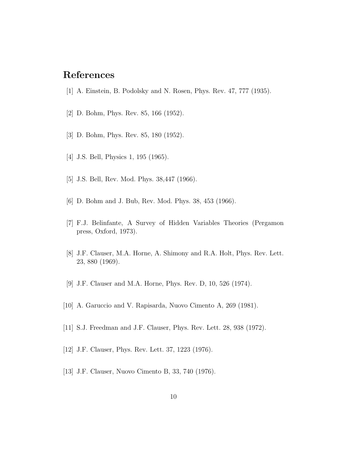#### <span id="page-9-0"></span>References

- <span id="page-9-1"></span>[1] A. Einstein, B. Podolsky and N. Rosen, Phys. Rev. 47, 777 (1935).
- <span id="page-9-2"></span>[2] D. Bohm, Phys. Rev. 85, 166 (1952).
- <span id="page-9-3"></span>[3] D. Bohm, Phys. Rev. 85, 180 (1952).
- <span id="page-9-4"></span>[4] J.S. Bell, Physics 1, 195 (1965).
- <span id="page-9-5"></span>[5] J.S. Bell, Rev. Mod. Phys. 38,447 (1966).
- <span id="page-9-6"></span>[6] D. Bohm and J. Bub, Rev. Mod. Phys. 38, 453 (1966).
- [7] F.J. Belinfante, A Survey of Hidden Variables Theories (Pergamon press, Oxford, 1973).
- <span id="page-9-7"></span>[8] J.F. Clauser, M.A. Horne, A. Shimony and R.A. Holt, Phys. Rev. Lett. 23, 880 (1969).
- <span id="page-9-8"></span>[9] J.F. Clauser and M.A. Horne, Phys. Rev. D, 10, 526 (1974).
- <span id="page-9-9"></span>[10] A. Garuccio and V. Rapisarda, Nuovo Cimento A, 269 (1981).
- <span id="page-9-10"></span>[11] S.J. Freedman and J.F. Clauser, Phys. Rev. Lett. 28, 938 (1972).
- <span id="page-9-11"></span>[12] J.F. Clauser, Phys. Rev. Lett. 37, 1223 (1976).
- [13] J.F. Clauser, Nuovo Cimento B, 33, 740 (1976).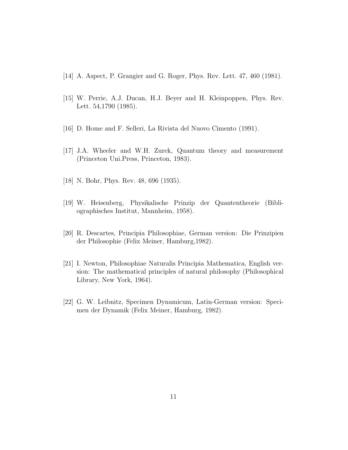- <span id="page-10-0"></span>[14] A. Aspect, P. Grangier and G. Roger, Phys. Rev. Lett. 47, 460 (1981).
- [15] W. Perrie, A.J. Ducan, H.J. Beyer and H. Kleinpoppen, Phys. Rev. Lett. 54,1790 (1985).
- <span id="page-10-2"></span><span id="page-10-1"></span>[16] D. Home and F. Selleri, La Rivista del Nuovo Cimento (1991).
- [17] J.A. Wheeler and W.H. Zurek, Quantum theory and measurement (Princeton Uni.Press, Princeton, 1983).
- <span id="page-10-4"></span><span id="page-10-3"></span>[18] N. Bohr, Phys. Rev. 48, 696 (1935).
- [19] W. Heisenberg, Physikalische Prinzip der Quantentheorie (Bibliographisches Institut, Mannheim, 1958).
- <span id="page-10-5"></span>[20] R. Descartes, Principia Philosophiae, German version: Die Prinzipien der Philosophie (Felix Meiner, Hamburg,1982).
- <span id="page-10-6"></span>[21] I. Newton, Philosophiae Naturalis Principia Mathematica, English version: The mathematical principles of natural philosophy (Philosophical Library, New York, 1964).
- <span id="page-10-7"></span>[22] G. W. Leibnitz, Specimen Dynamicum, Latin-German version: Specimen der Dynamik (Felix Meiner, Hamburg, 1982).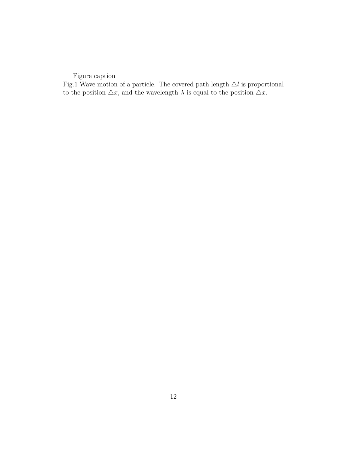Figure caption

Fig.1 Wave motion of a particle. The covered path length  $\Delta l$  is proportional to the position  $\triangle x$ , and the wavelength  $\lambda$  is equal to the position  $\triangle x$ .